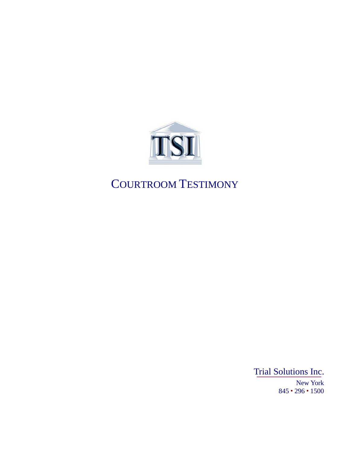

# COURTROOM TESTIMONY

Trial Solutions Inc. New York 845 • 296 • 1500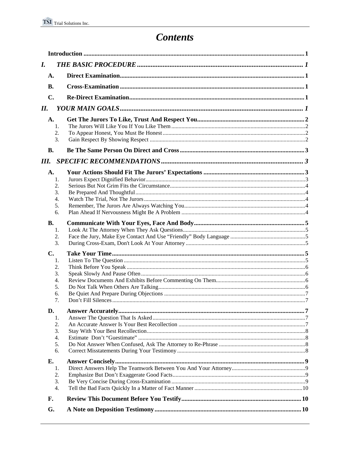## **Contents**

| I.            |  |
|---------------|--|
| A.            |  |
| <b>B.</b>     |  |
| C.            |  |
| II.           |  |
| A.            |  |
| 1.            |  |
| 2.            |  |
| 3.            |  |
| <b>B.</b>     |  |
| Ш.            |  |
| A.            |  |
| 1.            |  |
| 2.            |  |
| 3.            |  |
| 4.            |  |
| 5.            |  |
| 6.            |  |
| <b>B.</b>     |  |
| 1.            |  |
| 2.            |  |
| 3.            |  |
| $C_{\bullet}$ |  |
| 1.            |  |
| 2.            |  |
| 3.            |  |
| 4.            |  |
| 5.            |  |
| 6.            |  |
| 7.            |  |
| D.            |  |
| 1.            |  |
| 2.            |  |
| 3.            |  |
| 4.            |  |
| 5.<br>6.      |  |
| Е.            |  |
| 1.            |  |
| 2.            |  |
| 3.            |  |
| 4.            |  |
| F.            |  |
| G.            |  |
|               |  |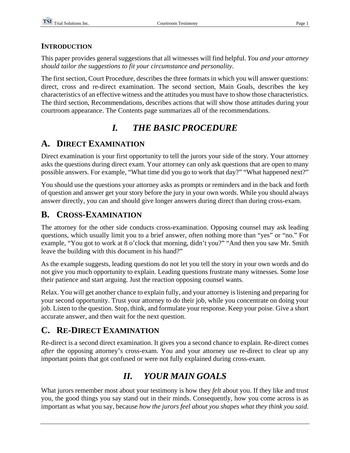### **INTRODUCTION**

This paper provides general suggestions that all witnesses will find helpful. *You and your attorney should tailor the suggestions to fit your circumstance and personality.*

The first section, Court Procedure, describes the three formats in which you will answer questions: direct, cross and re-direct examination. The second section, Main Goals, describes the key characteristics of an effective witness and the attitudes you must have to show those characteristics. The third section, Recommendations, describes actions that will show those attitudes during your courtroom appearance. The Contents page summarizes all of the recommendations.

## *I. THE BASIC PROCEDURE*

## **A. DIRECT EXAMINATION**

Direct examination is your first opportunity to tell the jurors your side of the story. Your attorney asks the questions during direct exam. Your attorney can only ask questions that are open to many possible answers. For example, "What time did you go to work that day?" "What happened next?"

You should use the questions your attorney asks as prompts or reminders and in the back and forth of question and answer get your story before the jury in your own words. While you should always answer directly, you can and should give longer answers during direct than during cross-exam.

### **B. CROSS-EXAMINATION**

The attorney for the other side conducts cross-examination. Opposing counsel may ask leading questions, which usually limit you to a brief answer, often nothing more than "yes" or "no." For example, "You got to work at 8 o'clock that morning, didn't you?" "And then you saw Mr. Smith leave the building with this document in his hand?"

As the example suggests, leading questions do not let you tell the story in your own words and do not give you much opportunity to explain. Leading questions frustrate many witnesses. Some lose their patience and start arguing. Just the reaction opposing counsel wants.

Relax. You will get another chance to explain fully, and your attorney is listening and preparing for your second opportunity. Trust your attorney to do their job, while you concentrate on doing your job. Listen to the question. Stop, think, and formulate your response. Keep your poise. Give a short accurate answer, and then wait for the next question.

## **C. RE-DIRECT EXAMINATION**

Re-direct is a second direct examination. It gives you a second chance to explain. Re-direct comes *after* the opposing attorney's cross-exam. You and your attorney use re-direct to clear up any important points that got confused or were not fully explained during cross-exam.

## *II. YOUR MAIN GOALS*

What jurors remember most about your testimony is how they *felt* about you. If they like and trust you, the good things you say stand out in their minds. Consequently, how you come across is as important as what you say, because *how the jurors feel about you shapes what they think you said*.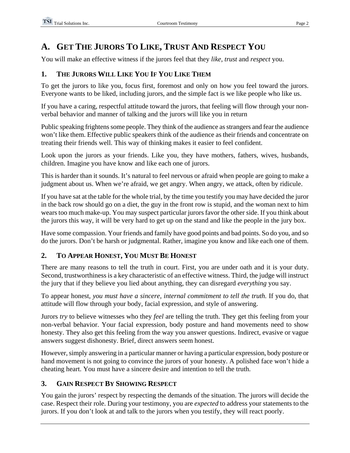## **A. GET THE JURORS TO LIKE, TRUST AND RESPECT YOU**

You will make an effective witness if the jurors feel that they *like*, *trust* and *respect* you.

### **1. THE JURORS WILL LIKE YOU IF YOU LIKE THEM**

To get the jurors to like you, focus first, foremost and only on how you feel toward the jurors. Everyone wants to be liked, including jurors, and the simple fact is we like people who like us.

If you have a caring, respectful attitude toward the jurors, that feeling will flow through your nonverbal behavior and manner of talking and the jurors will like you in return

Public speaking frightens some people. They think of the audience as strangers and fear the audience won't like them. Effective public speakers think of the audience as their friends and concentrate on treating their friends well. This way of thinking makes it easier to feel confident.

Look upon the jurors as your friends. Like you, they have mothers, fathers, wives, husbands, children. Imagine you have know and like each one of jurors.

This is harder than it sounds. It's natural to feel nervous or afraid when people are going to make a judgment about us. When we're afraid, we get angry. When angry, we attack, often by ridicule.

If you have sat at the table for the whole trial, by the time you testify you may have decided the juror in the back row should go on a diet, the guy in the front row is stupid, and the woman next to him wears too much make-up. You may suspect particular jurors favor the other side. If you think about the jurors this way, it will be very hard to get up on the stand and like the people in the jury box.

Have some compassion. Your friends and family have good points and bad points. So do you, and so do the jurors. Don't be harsh or judgmental. Rather, imagine you know and like each one of them.

### **2. TO APPEAR HONEST, YOU MUST BE HONEST**

There are many reasons to tell the truth in court. First, you are under oath and it is your duty. Second, trustworthiness is a key characteristic of an effective witness. Third, the judge will instruct the jury that if they believe you lied about anything, they can disregard *everything* you say.

To appear honest, *you must have a sincere, internal commitment to tell the truth.* If you do, that attitude will flow through your body, facial expression, and style of answering.

Jurors *try* to believe witnesses who they *feel* are telling the truth. They get this feeling from your non-verbal behavior. Your facial expression, body posture and hand movements need to show honesty. They also get this feeling from the way you answer questions. Indirect, evasive or vague answers suggest dishonesty. Brief, direct answers seem honest.

However, simply answering in a particular manner or having a particular expression, body posture or hand movement is not going to convince the jurors of your honesty. A polished face won't hide a cheating heart. You must have a sincere desire and intention to tell the truth.

### **3. GAIN RESPECT BY SHOWING RESPECT**

You gain the jurors' respect by respecting the demands of the situation. The jurors will decide the case. Respect their role. During your testimony, you are *expected* to address your statements to the jurors. If you don't look at and talk to the jurors when you testify, they will react poorly.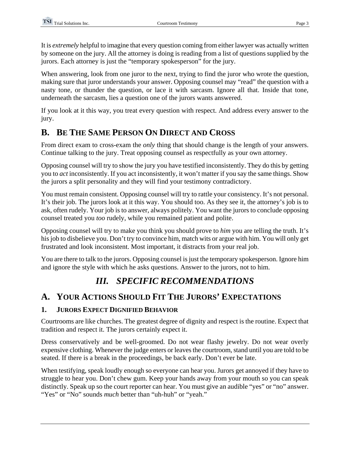It is *extremely* helpful to imagine that every question coming from either lawyer was actually written by someone on the jury. All the attorney is doing is reading from a list of questions supplied by the jurors. Each attorney is just the "temporary spokesperson" for the jury.

When answering, look from one juror to the next, trying to find the juror who wrote the question, making sure that juror understands your answer. Opposing counsel may "read" the question with a nasty tone, or thunder the question, or lace it with sarcasm. Ignore all that. Inside that tone, underneath the sarcasm, lies a question one of the jurors wants answered.

If you look at it this way, you treat every question with respect. And address every answer to the jury.

### **B. BE THE SAME PERSON ON DIRECT AND CROSS**

From direct exam to cross-exam the *only* thing that should change is the length of your answers. Continue talking to the jury. Treat opposing counsel as respectfully as your own attorney.

Opposing counsel will try to show the jury you have testified inconsistently. They do this by getting you to *act* inconsistently. If you act inconsistently, it won't matter if you say the same things. Show the jurors a split personality and they will find your testimony contradictory.

You must remain consistent. Opposing counsel will try to rattle your consistency. It's not personal. It's their job. The jurors look at it this way. You should too. As they see it, the attorney's job is to ask, often rudely. Your job is to answer, always politely. You want the jurors to conclude opposing counsel treated you *too* rudely, while you remained patient and polite.

Opposing counsel will try to make you think you should prove to *him* you are telling the truth. It's his job to disbelieve you. Don't try to convince him, match wits or argue with him. You will only get frustrated and look inconsistent. Most important, it distracts from your real job.

You are there to talk to the jurors. Opposing counsel is just the temporary spokesperson. Ignore him and ignore the style with which he asks questions. Answer to the jurors, not to him.

## *III. SPECIFIC RECOMMENDATIONS*

## **A. YOUR ACTIONS SHOULD FIT THE JURORS' EXPECTATIONS**

### **1. JURORS EXPECT DIGNIFIED BEHAVIOR**

Courtrooms are like churches. The greatest degree of dignity and respect is the routine. Expect that tradition and respect it. The jurors certainly expect it.

Dress conservatively and be well-groomed. Do not wear flashy jewelry. Do not wear overly expensive clothing. Whenever the judge enters or leaves the courtroom, stand until you are told to be seated. If there is a break in the proceedings, be back early. Don't ever be late.

When testifying, speak loudly enough so everyone can hear you. Jurors get annoyed if they have to struggle to hear you. Don't chew gum. Keep your hands away from your mouth so you can speak distinctly. Speak up so the court reporter can hear. You must give an audible "yes" or "no" answer. "Yes" or "No" sounds *much* better than "uh-huh" or "yeah."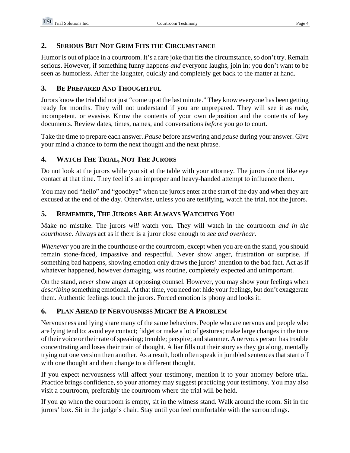#### **2. SERIOUS BUT NOT GRIM FITS THE CIRCUMSTANCE**

Humor is out of place in a courtroom. It's a rare joke that fits the circumstance, so don't try. Remain serious. However, if something funny happens *and* everyone laughs, join in; you don't want to be seen as humorless. After the laughter, quickly and completely get back to the matter at hand.

#### **3. BE PREPARED AND THOUGHTFUL**

Jurors know the trial did not just "come up at the last minute." They know everyone has been getting ready for months. They will not understand if you are unprepared. They will see it as rude, incompetent, or evasive. Know the contents of your own deposition and the contents of key documents. Review dates, times, names, and conversations *before* you go to court.

Take the time to prepare each answer. *Pause* before answering and *pause* during your answer. Give your mind a chance to form the next thought and the next phrase.

### **4. WATCH THE TRIAL, NOT THE JURORS**

Do not look at the jurors while you sit at the table with your attorney. The jurors do not like eye contact at that time. They feel it's an improper and heavy-handed attempt to influence them.

You may nod "hello" and "goodbye" when the jurors enter at the start of the day and when they are excused at the end of the day. Otherwise, unless you are testifying, watch the trial, not the jurors.

### **5. REMEMBER, THE JURORS ARE ALWAYS WATCHING YOU**

Make no mistake. The jurors *will* watch you. They will watch in the courtroom *and in the courthouse*. Always act as if there is a juror close enough to *see and overhear*.

*Whenever* you are in the courthouse or the courtroom, except when you are on the stand, you should remain stone-faced, impassive and respectful. Never show anger, frustration or surprise. If something bad happens, showing emotion only draws the jurors' attention to the bad fact. Act as if whatever happened, however damaging, was routine, completely expected and unimportant.

On the stand, *never* show anger at opposing counsel. However, you may show your feelings when *describing* something emotional. At that time, you need not hide your feelings, but don't exaggerate them. Authentic feelings touch the jurors. Forced emotion is phony and looks it.

### **6. PLAN AHEAD IF NERVOUSNESS MIGHT BE A PROBLEM**

Nervousness and lying share many of the same behaviors. People who are nervous and people who are lying tend to: avoid eye contact; fidget or make a lot of gestures; make large changes in the tone of their voice or their rate of speaking; tremble; perspire; and stammer. A nervous person has trouble concentrating and loses their train of thought. A liar fills out their story as they go along, mentally trying out one version then another. As a result, both often speak in jumbled sentences that start off with one thought and then change to a different thought.

If you expect nervousness will affect your testimony, mention it to your attorney before trial. Practice brings confidence, so your attorney may suggest practicing your testimony. You may also visit a courtroom, preferably the courtroom where the trial will be held.

If you go when the courtroom is empty, sit in the witness stand. Walk around the room. Sit in the jurors' box. Sit in the judge's chair. Stay until you feel comfortable with the surroundings.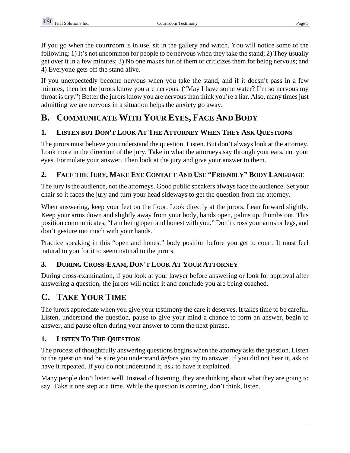If you go when the courtroom is in use, sit in the gallery and watch. You will notice some of the following: 1) It's not uncommon for people to be nervous when they take the stand; 2) They usually get over it in a few minutes; 3) No one makes fun of them or criticizes them for being nervous; and 4) Everyone gets off the stand alive.

If you unexpectedly become nervous when you take the stand, and if it doesn't pass in a few minutes, then let the jurors know you are nervous. ("May I have some water? I'm so nervous my throat is dry.") Better the jurors know you are nervous than think you're a liar. Also, many times just admitting we are nervous in a situation helps the anxiety go away.

## **B. COMMUNICATE WITH YOUR EYES, FACE AND BODY**

### **1. LISTEN BUT DON'T LOOK AT THE ATTORNEY WHEN THEY ASK QUESTIONS**

The jurors must believe you understand the question. Listen. But don't always look at the attorney. Look more in the direction of the jury. Take in what the attorneys say through your ears, not your eyes. Formulate your answer. Then look at the jury and give your answer to them.

### **2. FACE THE JURY, MAKE EYE CONTACT AND USE "FRIENDLY" BODY LANGUAGE**

The jury is the audience, not the attorneys. Good public speakers always face the audience. Set your chair so it faces the jury and turn your head sideways to get the question from the attorney.

When answering, keep your feet on the floor. Look directly at the jurors. Lean forward slightly. Keep your arms down and slightly away from your body, hands open, palms up, thumbs out. This position communicates, "I am being open and honest with you." Don't cross your arms or legs, and don't gesture too much with your hands.

Practice speaking in this "open and honest" body position before you get to court. It must feel natural to you for it to seem natural to the jurors.

### **3. DURING CROSS-EXAM, DON'T LOOK AT YOUR ATTORNEY**

During cross-examination, if you look at your lawyer before answering or look for approval after answering a question, the jurors will notice it and conclude you are being coached.

## **C. TAKE YOUR TIME**

The jurors appreciate when you give your testimony the care it deserves. It takes time to be careful. Listen, understand the question, pause to give your mind a chance to form an answer, begin to answer, and pause often during your answer to form the next phrase.

### **1. LISTEN TO THE QUESTION**

The process of thoughtfully answering questions begins when the attorney asks the question. Listen to the question and be sure you understand *before* you try to answer. If you did not hear it, ask to have it repeated. If you do not understand it, ask to have it explained.

Many people don't listen well. Instead of listening, they are thinking about what they are going to say. Take it one step at a time. While the question is coming, don't think, listen.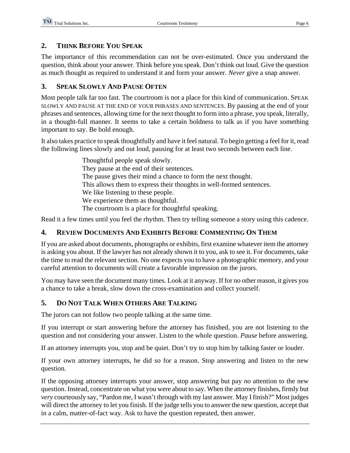#### **2. THINK BEFORE YOU SPEAK**

The importance of this recommendation can not be over-estimated. Once you understand the question, think about your answer. Think before you speak. Don't think out loud. Give the question as much thought as required to understand it and form your answer. *Never* give a snap answer.

#### **3. SPEAK SLOWLY AND PAUSE OFTEN**

Most people talk far too fast. The courtroom is not a place for this kind of communication. SPEAK SLOWLY AND PAUSE AT THE END OF YOUR PHRASES AND SENTENCES. By pausing at the end of your phrases and sentences, allowing time for the next thought to form into a phrase, you speak, literally, in a thought-full manner. It seems to take a certain boldness to talk as if you have something important to say. Be bold enough.

It also takes practice to speak thoughtfully and have it feel natural. To begin getting a feel for it, read the following lines slowly and out loud, pausing for at least two seconds between each line.

> Thoughtful people speak slowly. They pause at the end of their sentences. The pause gives their mind a chance to form the next thought. This allows them to express their thoughts in well-formed sentences. We like listening to these people. We experience them as thoughtful. The courtroom is a place for thoughtful speaking.

Read it a few times until you feel the rhythm. Then try telling someone a story using this cadence.

### **4. REVIEW DOCUMENTS AND EXHIBITS BEFORE COMMENTING ON THEM**

If you are asked about documents, photographs or exhibits, first examine whatever item the attorney is asking you about. If the lawyer has not already shown it to you, ask to see it. For documents, take the time to read the relevant section. No one expects you to have a photographic memory, and your careful attention to documents will create a favorable impression on the jurors.

You may have seen the document many times. Look at it anyway. If for no other reason, it gives you a chance to take a break, slow down the cross-examination and collect yourself.

### **5. DO NOT TALK WHEN OTHERS ARE TALKING**

The jurors can not follow two people talking at the same time.

If you interrupt or start answering before the attorney has finished, you are not listening to the question and not considering your answer. Listen to the whole question. *Pause* before answering.

If an attorney interrupts you, stop and be quiet. Don't try to stop him by talking faster or louder.

If your own attorney interrupts, he did so for a reason. Stop answering and listen to the new question.

If the opposing attorney interrupts your answer, stop answering but pay *no* attention to the new question. Instead, concentrate on what you were about to say. When the attorney finishes, firmly but *very* courteously say, "Pardon me, I wasn't through with my last answer. May I finish?" Most judges will direct the attorney to let you finish. If the judge tells you to answer the new question, accept that in a calm, matter-of-fact way. Ask to have the question repeated, then answer.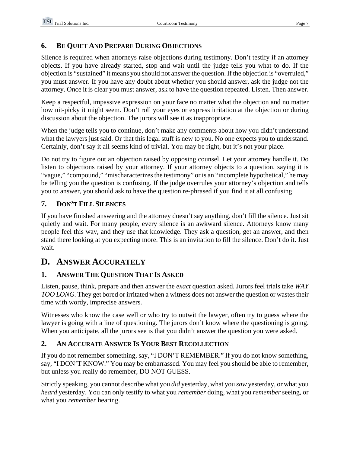### **6. BE QUIET AND PREPARE DURING OBJECTIONS**

Silence is required when attorneys raise objections during testimony. Don't testify if an attorney objects. If you have already started, stop and wait until the judge tells you what to do. If the objection is "sustained" it means you should not answer the question. If the objection is "overruled," you must answer. If you have any doubt about whether you should answer, ask the judge not the attorney. Once it is clear you must answer, ask to have the question repeated. Listen. Then answer.

Keep a respectful, impassive expression on your face no matter what the objection and no matter how nit-picky it might seem. Don't roll your eyes or express irritation at the objection or during discussion about the objection. The jurors will see it as inappropriate.

When the judge tells you to continue, don't make any comments about how you didn't understand what the lawyers just said. Or that this legal stuff is new to you. No one expects you to understand. Certainly, don't say it all seems kind of trivial. You may be right, but it's not your place.

Do not try to figure out an objection raised by opposing counsel. Let your attorney handle it. Do listen to objections raised by your attorney. If your attorney objects to a question, saying it is "vague," "compound," "mischaracterizes the testimony" or is an "incomplete hypothetical," he may be telling you the question is confusing. If the judge overrules your attorney's objection and tells you to answer, you should ask to have the question re-phrased if you find it at all confusing.

### **7. DON'T FILL SILENCES**

If you have finished answering and the attorney doesn't say anything, don't fill the silence. Just sit quietly and wait. For many people, every silence is an awkward silence. Attorneys know many people feel this way, and they use that knowledge. They ask a question, get an answer, and then stand there looking at you expecting more. This is an invitation to fill the silence. Don't do it. Just wait.

### **D. ANSWER ACCURATELY**

### **1. ANSWER THE QUESTION THAT IS ASKED**

Listen, pause, think, prepare and then answer the *exact* question asked. Jurors feel trials take *WAY TOO LONG*. They get bored or irritated when a witness does not answer the question or wastes their time with wordy, imprecise answers.

Witnesses who know the case well or who try to outwit the lawyer, often try to guess where the lawyer is going with a line of questioning. The jurors don't know where the questioning is going. When you anticipate, all the jurors see is that you didn't answer the question you were asked.

### **2. AN ACCURATE ANSWER IS YOUR BEST RECOLLECTION**

If you do not remember something, say, "I DON'T REMEMBER." If you do not know something, say, "I DON'T KNOW." You may be embarrassed. You may feel you should be able to remember, but unless you really do remember, DO NOT GUESS.

Strictly speaking, you cannot describe what you *did* yesterday, what you *saw* yesterday, or what you *heard* yesterday. You can only testify to what you *remember* doing, what you *remember* seeing, or what you *remember* hearing.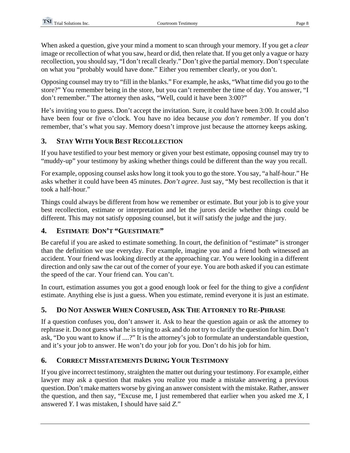When asked a question, give your mind a moment to scan through your memory. If you get a *clear* image or recollection of what you saw, heard or did, then relate that. If you get only a vague or hazy recollection, you should say, "I don't recall clearly." Don't give the partial memory. Don't speculate on what you "probably would have done." Either you remember clearly, or you don't.

Opposing counsel may try to "fill in the blanks." For example, he asks, "What time did you go to the store?" You remember being in the store, but you can't remember the time of day. You answer, "I don't remember." The attorney then asks, "Well, could it have been 3:00?"

He's inviting you to guess. Don't accept the invitation. Sure, it could have been 3:00. It could also have been four or five o'clock. You have no idea because *you don't remember*. If you don't remember, that's what you say. Memory doesn't improve just because the attorney keeps asking.

### **3. STAY WITH YOUR BEST RECOLLECTION**

If you have testified to your best memory or given your best estimate, opposing counsel may try to "muddy-up" your testimony by asking whether things could be different than the way you recall.

For example, opposing counsel asks how long it took you to go the store. You say, "a half-hour." He asks whether it could have been 45 minutes. *Don't agree*. Just say, "My best recollection is that it took a half-hour."

Things could always be different from how we remember or estimate. But your job is to give your best recollection, estimate or interpretation and let the jurors decide whether things could be different. This may not satisfy opposing counsel, but it *will* satisfy the judge and the jury.

### **4. ESTIMATE DON'T "GUESTIMATE"**

Be careful if you are asked to estimate something. In court, the definition of "estimate" is stronger than the definition we use everyday. For example, imagine you and a friend both witnessed an accident. Your friend was looking directly at the approaching car. You were looking in a different direction and only saw the car out of the corner of your eye. You are both asked if you can estimate the speed of the car. Your friend can. You can't.

In court, estimation assumes you got a good enough look or feel for the thing to give a *confident* estimate. Anything else is just a guess. When you estimate, remind everyone it is just an estimate.

### **5. DO NOT ANSWER WHEN CONFUSED, ASK THE ATTORNEY TO RE-PHRASE**

If a question confuses you, don't answer it. Ask to hear the question again or ask the attorney to rephrase it. Do not guess what he is trying to ask and do not try to clarify the question for him. Don't ask, "Do you want to know if ....?" It is the attorney's job to formulate an understandable question, and it's your job to answer. He won't do your job for you. Don't do his job for him.

### **6. CORRECT MISSTATEMENTS DURING YOUR TESTIMONY**

If you give incorrect testimony, straighten the matter out during your testimony. For example, either lawyer may ask a question that makes you realize you made a mistake answering a previous question. Don't make matters worse by giving an answer consistent with the mistake. Rather, answer the question, and then say, "Excuse me, I just remembered that earlier when you asked me *X*, I answered *Y*. I was mistaken, I should have said *Z*."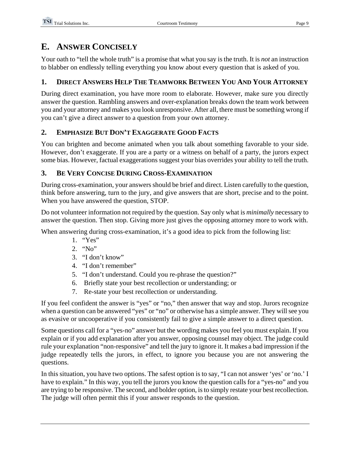### **E. ANSWER CONCISELY**

Your oath to "tell the whole truth" is a promise that what you say is the truth. It is *not* an instruction to blabber on endlessly telling everything you know about every question that is asked of you.

### **1. DIRECT ANSWERS HELP THE TEAMWORK BETWEEN YOU AND YOUR ATTORNEY**

During direct examination, you have more room to elaborate. However, make sure you directly answer the question. Rambling answers and over-explanation breaks down the team work between you and your attorney and makes you look unresponsive. After all, there must be something wrong if you can't give a direct answer to a question from your own attorney.

### **2. EMPHASIZE BUT DON'T EXAGGERATE GOOD FACTS**

You can brighten and become animated when you talk about something favorable to your side. However, don't exaggerate. If you are a party or a witness on behalf of a party, the jurors expect some bias. However, factual exaggerations suggest your bias overrides your ability to tell the truth.

### **3. BE VERY CONCISE DURING CROSS-EXAMINATION**

During cross-examination, your answers should be brief and direct. Listen carefully to the question, think before answering, turn to the jury, and give answers that are short, precise and to the point. When you have answered the question, STOP.

Do not volunteer information not required by the question. Say only what is *minimally* necessary to answer the question. Then stop. Giving more just gives the opposing attorney more to work with.

When answering during cross-examination, it's a good idea to pick from the following list:

- 1. "Yes"
- 2. "No"
- 3. "I don't know"
- 4. "I don't remember"
- 5. "I don't understand. Could you re-phrase the question?"
- 6. Briefly state your best recollection or understanding; or
- 7. Re-state your best recollection or understanding.

If you feel confident the answer is "yes" or "no," then answer that way and stop. Jurors recognize when a question can be answered "yes" or "no" or otherwise has a simple answer. They will see you as evasive or uncooperative if you consistently fail to give a simple answer to a direct question.

Some questions call for a "yes-no" answer but the wording makes you feel you must explain. If you explain or if you add explanation after you answer, opposing counsel may object. The judge could rule your explanation "non-responsive" and tell the jury to ignore it. It makes a bad impression if the judge repeatedly tells the jurors, in effect, to ignore you because you are not answering the questions.

In this situation, you have two options. The safest option is to say, "I can not answer 'yes' or 'no.' I have to explain." In this way, you tell the jurors you know the question calls for a "yes-no" and you are trying to be responsive. The second, and bolder option, is to simply restate your best recollection. The judge will often permit this if your answer responds to the question.